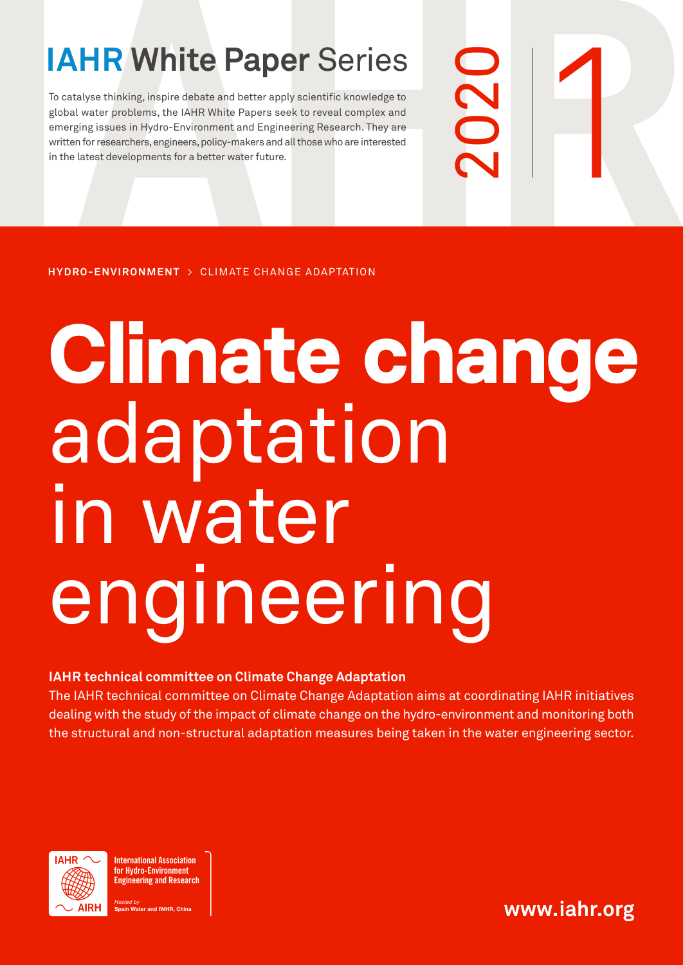To catalyse thinking, inspire debate and better apply scientific knowledge to<br>global water problems, the IAHR White Papers seek to reveal complex and<br>emerging issues in Hydro-Environment and Engineering Research. They are<br> To catalyse thinking, inspire debate and better apply scientific knowledge to global water problems, the IAHR White Papers seek to reveal complex and emerging issues in Hydro-Environment and Engineering Research. They are written for researchers, engineers, policy-makers and all those who are interested in the latest developments for a better water future.

**HYDRO-ENVIRONMENT** > CLIMATE CHANGE ADAPTATION

# **Climate change** adaptation in water engineering

2020

# **IAHR technical committee on Climate Change Adaptation**

The IAHR technical committee on Climate Change Adaptation aims at coordinating IAHR initiatives dealing with the study of the impact of climate change on the hydro-environment and monitoring both the structural and non-structural adaptation measures being taken in the water engineering sector.



International Association for Hydro-Environment Engineering and Research

Hosted by nd IWHR, China **www.iahr.org**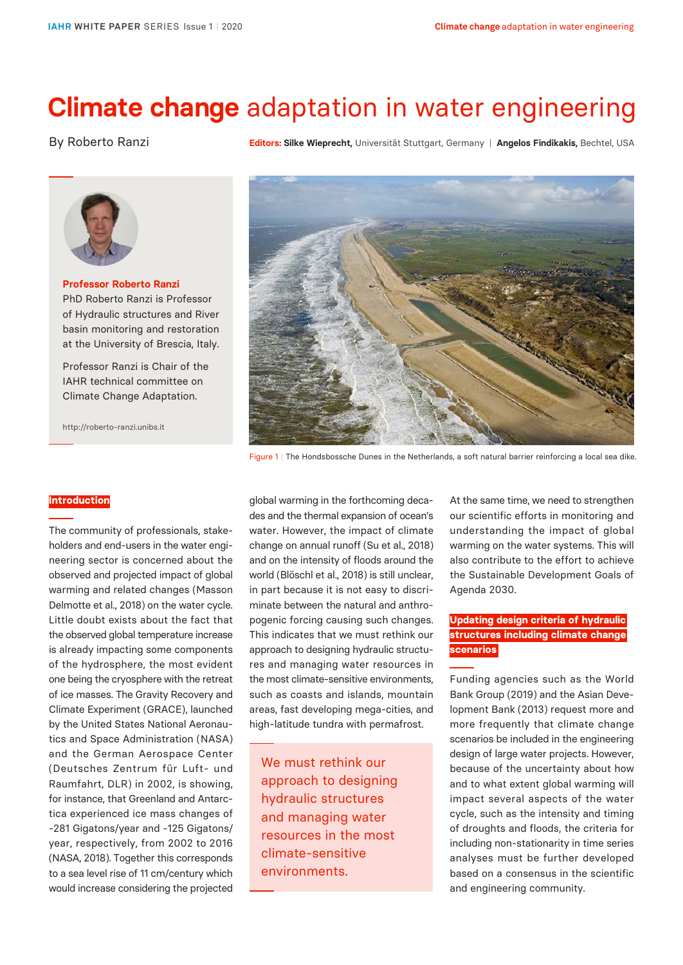# **Climate change** adaptation in water engineering

# By Roberto Ranzi

**Editors: Silke Wieprecht,** Universität Stuttgart, Germany | **Angelos Findikakis,** Bechtel, USA



**Professor Roberto Ranzi** PhD Roberto Ranzi is Professor of Hydraulic structures and River basin monitoring and restoration at the University of Brescia, Italy.

Professor Ranzi is Chair of the IAHR technical committee on Climate Change Adaptation.

http://roberto-ranzi.unibs.it



Figure 1 | The Hondsbossche Dunes in the Netherlands, a soft natural barrier reinforcing a local sea dike.

# **Introduction**

The community of professionals, stakeholders and end-users in the water engineering sector is concerned about the observed and projected impact of global warming and related changes (Masson Delmotte et al., 2018) on the water cycle. Little doubt exists about the fact that the observed global temperature increase is already impacting some components of the hydrosphere, the most evident one being the cryosphere with the retreat of ice masses. The Gravity Recovery and Climate Experiment (GRACE), launched by the United States National Aeronautics and Space Administration (NASA) and the German Aerospace Center (Deutsches Zentrum für Luft- und Raumfahrt, DLR) in 2002, is showing, for instance, that Greenland and Antarctica experienced ice mass changes of -281 Gigatons/year and -125 Gigatons/ year, respectively, from 2002 to 2016 (NASA, 2018). Together this corresponds to a sea level rise of 11 cm/century which would increase considering the projected

global warming in the forthcoming decades and the thermal expansion of ocean's water. However, the impact of climate change on annual runoff (Su et al., 2018) and on the intensity of floods around the world (Blöschl et al., 2018) is still unclear, in part because it is not easy to discriminate between the natural and anthropogenic forcing causing such changes. This indicates that we must rethink our approach to designing hydraulic structures and managing water resources in the most climate-sensitive environments, such as coasts and islands, mountain areas, fast developing mega-cities, and high-latitude tundra with permafrost.

We must rethink our approach to designing hydraulic structures and managing water resources in the most climate-sensitive environments.

At the same time, we need to strengthen our scientific efforts in monitoring and understanding the impact of global warming on the water systems. This will also contribute to the effort to achieve the Sustainable Development Goals of Agenda 2030.

# **Updating design criteria of hydraulic structures including climate change scenarios**

Funding agencies such as the World Bank Group (2019) and the Asian Development Bank (2013) request more and more frequently that climate change scenarios be included in the engineering design of large water projects. However, because of the uncertainty about how and to what extent global warming will impact several aspects of the water cycle, such as the intensity and timing of droughts and floods, the criteria for including non-stationarity in time series analyses must be further developed based on a consensus in the scientific and engineering community.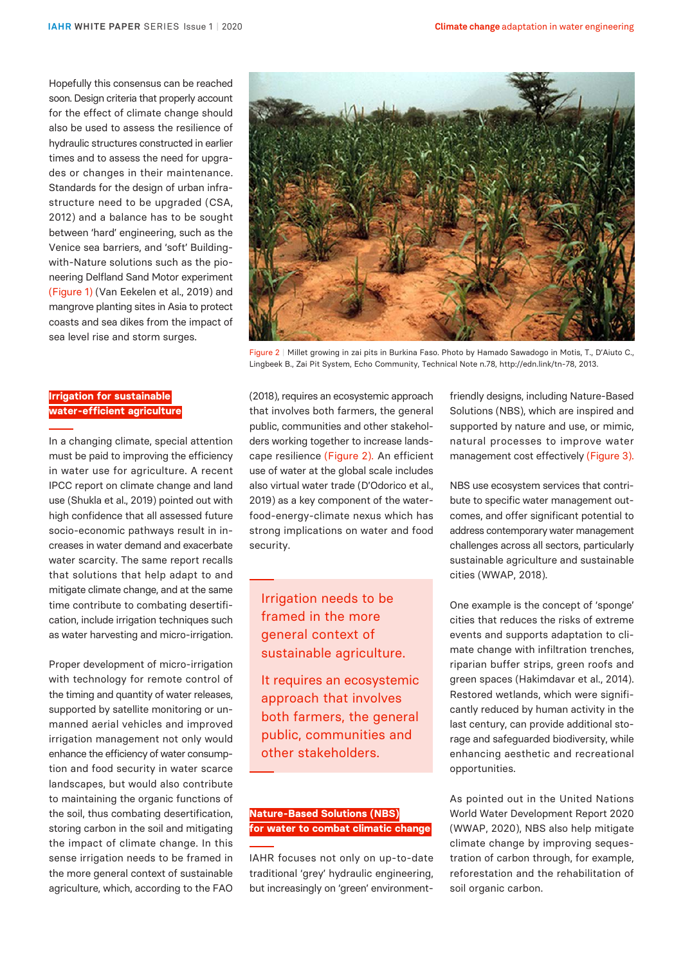Hopefully this consensus can be reached soon. Design criteria that properly account for the effect of climate change should also be used to assess the resilience of hydraulic structures constructed in earlier times and to assess the need for upgrades or changes in their maintenance. Standards for the design of urban infrastructure need to be upgraded (CSA, 2012) and a balance has to be sought between 'hard' engineering, such as the Venice sea barriers, and 'soft' Buildingwith-Nature solutions such as the pioneering Delfland Sand Motor experiment (Figure 1) (Van Eekelen et al., 2019) and mangrove planting sites in Asia to protect coasts and sea dikes from the impact of sea level rise and storm surges.

# **Irrigation for sustainable water-efficient agriculture**

In a changing climate, special attention must be paid to improving the efficiency in water use for agriculture. A recent IPCC report on climate change and land use (Shukla et al., 2019) pointed out with high confidence that all assessed future socio-economic pathways result in increases in water demand and exacerbate water scarcity. The same report recalls that solutions that help adapt to and mitigate climate change, and at the same time contribute to combating desertification, include irrigation techniques such as water harvesting and micro-irrigation.

Proper development of micro-irrigation with technology for remote control of the timing and quantity of water releases, supported by satellite monitoring or unmanned aerial vehicles and improved irrigation management not only would enhance the efficiency of water consumption and food security in water scarce landscapes, but would also contribute to maintaining the organic functions of the soil, thus combating desertification, storing carbon in the soil and mitigating the impact of climate change. In this sense irrigation needs to be framed in the more general context of sustainable agriculture, which, according to the FAO



Figure 2 | Millet growing in zai pits in Burkina Faso. Photo by Hamado Sawadogo in Motis, T., D'Aiuto C., Lingbeek B., Zai Pit System, Echo Community, Technical Note n.78, http://edn.link/tn-78, 2013.

(2018), requires an ecosystemic approach that involves both farmers, the general public, communities and other stakeholders working together to increase landscape resilience (Figure 2). An efficient use of water at the global scale includes also virtual water trade (D'Odorico et al., 2019) as a key component of the waterfood-energy-climate nexus which has strong implications on water and food security.

# Irrigation needs to be framed in the more general context of sustainable agriculture.

It requires an ecosystemic approach that involves both farmers, the general public, communities and other stakeholders.

# **Nature-Based Solutions (NBS) for water to combat climatic change**

IAHR focuses not only on up-to-date traditional 'grey' hydraulic engineering, but increasingly on 'green' environmentfriendly designs, including Nature-Based Solutions (NBS), which are inspired and supported by nature and use, or mimic, natural processes to improve water management cost effectively (Figure 3).

NBS use ecosystem services that contribute to specific water management outcomes, and offer significant potential to address contemporary water management challenges across all sectors, particularly sustainable agriculture and sustainable cities (WWAP, 2018).

One example is the concept of 'sponge' cities that reduces the risks of extreme events and supports adaptation to climate change with infiltration trenches, riparian buffer strips, green roofs and green spaces (Hakimdavar et al., 2014). Restored wetlands, which were significantly reduced by human activity in the last century, can provide additional storage and safeguarded biodiversity, while enhancing aesthetic and recreational opportunities.

As pointed out in the United Nations World Water Development Report 2020 (WWAP, 2020), NBS also help mitigate climate change by improving sequestration of carbon through, for example, reforestation and the rehabilitation of soil organic carbon.